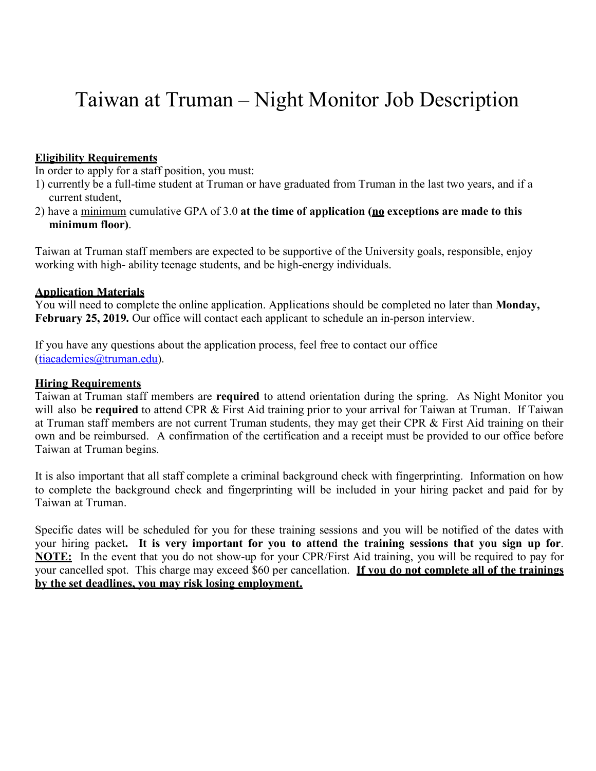# Taiwan at Truman – Night Monitor Job Description

#### **Eligibility Requirements**

In order to apply for a staff position, you must:

- 1) currently be a full-time student at Truman or have graduated from Truman in the last two years, and if a current student,
- 2) have a minimum cumulative GPA of 3.0 **at the time of application (no exceptions are made to this minimum floor)**.

Taiwan at Truman staff members are expected to be supportive of the University goals, responsible, enjoy working with high- ability teenage students, and be high-energy individuals.

#### **Application Materials**

You will need to complete the online application. Applications should be completed no later than **Monday, February 25, 2019.** Our office will contact each applicant to schedule an in-person interview.

If you have any questions about the application process, feel free to contact our office (tiacademies@truman.edu).

#### **Hiring Requirements**

Taiwan at Truman staff members are **required** to attend orientation during the spring. As Night Monitor you will also be **required** to attend CPR & First Aid training prior to your arrival for Taiwan at Truman. If Taiwan at Truman staff members are not current Truman students, they may get their CPR & First Aid training on their own and be reimbursed. A confirmation of the certification and a receipt must be provided to our office before Taiwan at Truman begins.

It is also important that all staff complete a criminal background check with fingerprinting. Information on how to complete the background check and fingerprinting will be included in your hiring packet and paid for by Taiwan at Truman.

Specific dates will be scheduled for you for these training sessions and you will be notified of the dates with your hiring packet**. It is very important for you to attend the training sessions that you sign up for**. **NOTE:** In the event that you do not show-up for your CPR/First Aid training, you will be required to pay for your cancelled spot. This charge may exceed \$60 per cancellation. **If you do not complete all of the trainings by the set deadlines, you may risk losing employment.**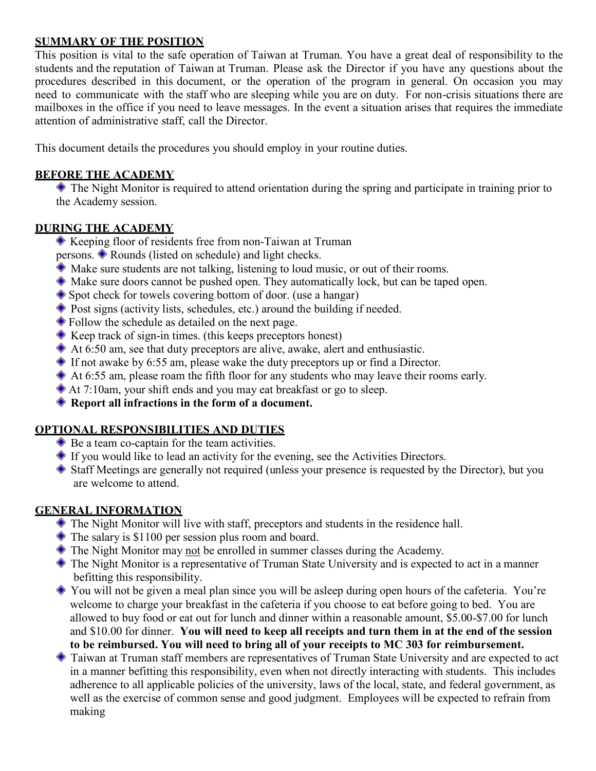#### **SUMMARY OF THE POSITION**

This position is vital to the safe operation of Taiwan at Truman. You have a great deal of responsibility to the students and the reputation of Taiwan at Truman. Please ask the Director if you have any questions about the procedures described in this document, or the operation of the program in general. On occasion you may need to communicate with the staff who are sleeping while you are on duty. For non-crisis situations there are mailboxes in the office if you need to leave messages. In the event a situation arises that requires the immediate attention of administrative staff, call the Director.

This document details the procedures you should employ in your routine duties.

#### **BEFORE THE ACADEMY**

 The Night Monitor is required to attend orientation during the spring and participate in training prior to the Academy session.

#### **DURING THE ACADEMY**

- Keeping floor of residents free from non-Taiwan at Truman
- persons. Rounds (listed on schedule) and light checks.
- Make sure students are not talking, listening to loud music, or out of their rooms.
- Make sure doors cannot be pushed open. They automatically lock, but can be taped open.
- Spot check for towels covering bottom of door. (use a hangar)
- Post signs (activity lists, schedules, etc.) around the building if needed.
- Follow the schedule as detailed on the next page.
- Keep track of sign-in times. (this keeps preceptors honest)
- At 6:50 am, see that duty preceptors are alive, awake, alert and enthusiastic.
- If not awake by 6:55 am, please wake the duty preceptors up or find a Director.
- At 6:55 am, please roam the fifth floor for any students who may leave their rooms early.
- At 7:10am, your shift ends and you may eat breakfast or go to sleep.
- **Report all infractions in the form of a document.**

#### **OPTIONAL RESPONSIBILITIES AND DUTIES**

- **◆ Be a team co-captain for the team activities.**
- If you would like to lead an activity for the evening, see the Activities Directors.
- Staff Meetings are generally not required (unless your presence is requested by the Director), but you are welcome to attend.

### **GENERAL INFORMATION**

- The Night Monitor will live with staff, preceptors and students in the residence hall.
- $\triangle$  The salary is \$1100 per session plus room and board.
- The Night Monitor may not be enrolled in summer classes during the Academy.
- The Night Monitor is a representative of Truman State University and is expected to act in a manner befitting this responsibility.
- You will not be given a meal plan since you will be asleep during open hours of the cafeteria. You're welcome to charge your breakfast in the cafeteria if you choose to eat before going to bed. You are allowed to buy food or eat out for lunch and dinner within a reasonable amount, \$5.00-\$7.00 for lunch and \$10.00 for dinner. **You will need to keep all receipts and turn them in at the end of the session to be reimbursed. You will need to bring all of your receipts to MC 303 for reimbursement.**
- Taiwan at Truman staff members are representatives of Truman State University and are expected to act in a manner befitting this responsibility, even when not directly interacting with students. This includes adherence to all applicable policies of the university, laws of the local, state, and federal government, as well as the exercise of common sense and good judgment. Employees will be expected to refrain from making